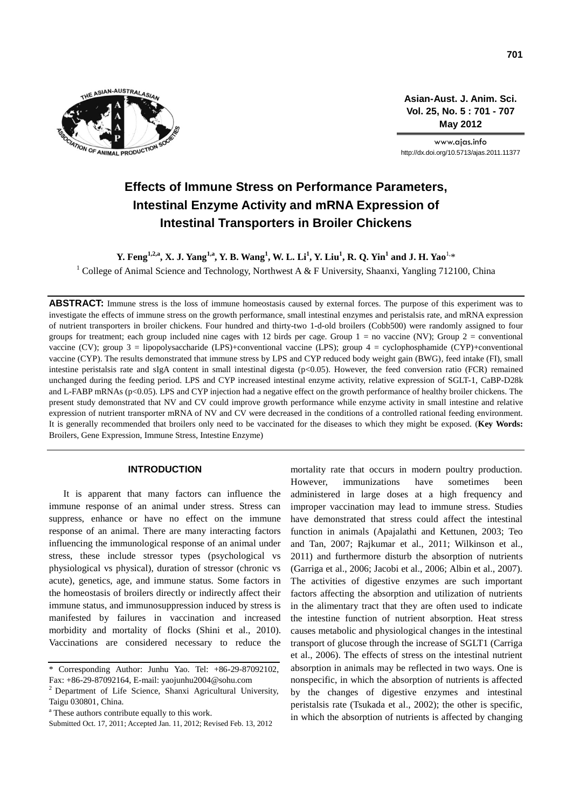

**Asian-Aust. J. Anim. Sci. Vol. 25, No. 5 : 701 - 707 May 2012**

www.ajas.info http://dx.doi.org/10.5713/ajas.2011.11377

# **Effects of Immune Stress on Performance Parameters, Intestinal Enzyme Activity and mRNA Expression of Intestinal Transporters in Broiler Chickens**

**Y. Feng1,2,a, X. J. Yang1,a, Y. B. Wang<sup>1</sup> , W. L. Li<sup>1</sup> , Y. Liu<sup>1</sup> , R. Q. Yin<sup>1</sup> and J. H. Yao**1,\*

<sup>1</sup> College of Animal Science and Technology, Northwest A & F University, Shaanxi, Yangling 712100, China

**ABSTRACT:** Immune stress is the loss of immune homeostasis caused by external forces. The purpose of this experiment was to investigate the effects of immune stress on the growth performance, small intestinal enzymes and peristalsis rate, and mRNA expression of nutrient transporters in broiler chickens. Four hundred and thirty-two 1-d-old broilers (Cobb500) were randomly assigned to four groups for treatment; each group included nine cages with 12 birds per cage. Group  $1 =$  no vaccine (NV); Group  $2 =$  conventional vaccine (CV); group  $3 =$  lipopolysaccharide (LPS)+conventional vaccine (LPS); group  $4 =$  cyclophosphamide (CYP)+conventional vaccine (CYP). The results demonstrated that immune stress by LPS and CYP reduced body weight gain (BWG), feed intake (FI), small intestine peristalsis rate and sIgA content in small intestinal digesta (p<0.05). However, the feed conversion ratio (FCR) remained unchanged during the feeding period. LPS and CYP increased intestinal enzyme activity, relative expression of SGLT-1, CaBP-D28k and L-FABP mRNAs (p<0.05). LPS and CYP injection had a negative effect on the growth performance of healthy broiler chickens. The present study demonstrated that NV and CV could improve growth performance while enzyme activity in small intestine and relative expression of nutrient transporter mRNA of NV and CV were decreased in the conditions of a controlled rational feeding environment. It is generally recommended that broilers only need to be vaccinated for the diseases to which they might be exposed. (**Key Words:** Broilers, Gene Expression, Immune Stress, Intestine Enzyme)

# **INTRODUCTION**

It is apparent that many factors can influence the immune response of an animal under stress. Stress can suppress, enhance or have no effect on the immune response of an animal. There are many interacting factors influencing the immunological response of an animal under stress, these include stressor types (psychological vs physiological vs physical), duration of stressor (chronic vs acute), genetics, age, and immune status. Some factors in the homeostasis of broilers directly or indirectly affect their immune status, and immunosuppression induced by stress is manifested by failures in vaccination and increased morbidity and mortality of flocks (Shini et al., 2010). Vaccinations are considered necessary to reduce the mortality rate that occurs in modern poultry production. However, immunizations have sometimes been administered in large doses at a high frequency and improper vaccination may lead to immune stress. Studies have demonstrated that stress could affect the intestinal function in animals (Apajalathi and Kettunen, 2003; Teo and Tan, 2007; Rajkumar et al., 2011; Wilkinson et al., 2011) and furthermore disturb the absorption of nutrients (Garriga et al., 2006; Jacobi et al., 2006; Albin et al., 2007). The activities of digestive enzymes are such important factors affecting the absorption and utilization of nutrients in the alimentary tract that they are often used to indicate the intestine function of nutrient absorption. Heat stress causes metabolic and physiological changes in the intestinal transport of glucose through the increase of SGLT1 (Carriga et al., 2006). The effects of stress on the intestinal nutrient absorption in animals may be reflected in two ways. One is nonspecific, in which the absorption of nutrients is affected by the changes of digestive enzymes and intestinal peristalsis rate (Tsukada et al., 2002); the other is specific, in which the absorption of nutrients is affected by changing

<sup>\*</sup> Corresponding Author: Junhu Yao. Tel: +86-29-87092102, Fax: +86-29-87092164, E-mail: yaojunhu2004@sohu.com

<sup>&</sup>lt;sup>2</sup> Department of Life Science, Shanxi Agricultural University, Taigu 030801, China.

<sup>&</sup>lt;sup>a</sup> These authors contribute equally to this work.

Submitted Oct. 17, 2011; Accepted Jan. 11, 2012; Revised Feb. 13, 2012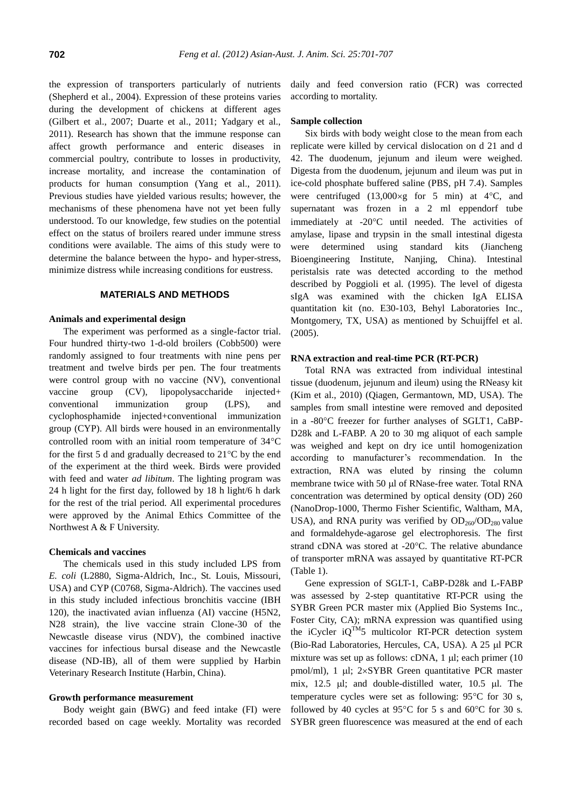the expression of transporters particularly of nutrients (Shepherd et al., 2004). Expression of these proteins varies during the development of chickens at different ages (Gilbert et al., 2007; Duarte et al., 2011; Yadgary et al., 2011). Research has shown that the immune response can affect growth performance and enteric diseases in commercial poultry, contribute to losses in productivity, increase mortality, and increase the contamination of products for human consumption (Yang et al., 2011). Previous studies have yielded various results; however, the mechanisms of these phenomena have not yet been fully understood. To our knowledge, few studies on the potential effect on the status of broilers reared under immune stress conditions were available. The aims of this study were to determine the balance between the hypo- and hyper-stress, minimize distress while increasing conditions for eustress.

## **MATERIALS AND METHODS**

## **Animals and experimental design**

The experiment was performed as a single-factor trial. Four hundred thirty-two 1-d-old broilers (Cobb500) were randomly assigned to four treatments with nine pens per treatment and twelve birds per pen. The four treatments were control group with no vaccine (NV), conventional vaccine group (CV), lipopolysaccharide injected+ conventional immunization group (LPS), and cyclophosphamide injected+conventional immunization group (CYP). All birds were housed in an environmentally controlled room with an initial room temperature of  $34^{\circ}$ C for the first 5 d and gradually decreased to  $21^{\circ}$ C by the end of the experiment at the third week. Birds were provided with feed and water *ad libitum*. The lighting program was 24 h light for the first day, followed by 18 h light/6 h dark for the rest of the trial period. All experimental procedures were approved by the Animal Ethics Committee of the Northwest A & F University.

#### **Chemicals and vaccines**

The chemicals used in this study included LPS from *E. coli* (L2880, Sigma-Aldrich, Inc., St. Louis, Missouri, USA) and CYP (C0768, Sigma-Aldrich). The vaccines used in this study included infectious bronchitis vaccine (IBH 120), the inactivated avian influenza (AI) vaccine (H5N2, N28 strain), the live vaccine strain Clone-30 of the Newcastle disease virus (NDV), the combined inactive vaccines for infectious bursal disease and the Newcastle disease (ND-IB), all of them were supplied by Harbin Veterinary Research Institute (Harbin, China).

## **Growth performance measurement**

Body weight gain (BWG) and feed intake (FI) were recorded based on cage weekly. Mortality was recorded daily and feed conversion ratio (FCR) was corrected according to mortality.

## **Sample collection**

Six birds with body weight close to the mean from each replicate were killed by cervical dislocation on d 21 and d 42. The duodenum, jejunum and ileum were weighed. Digesta from the duodenum, jejunum and ileum was put in ice-cold phosphate buffered saline (PBS, pH 7.4). Samples were centrifuged  $(13,000 \times g$  for 5 min) at 4 °C, and supernatant was frozen in a 2 ml eppendorf tube immediately at -20°C until needed. The activities of amylase, lipase and trypsin in the small intestinal digesta were determined using standard kits (Jiancheng Bioengineering Institute, Nanjing, China). Intestinal peristalsis rate was detected according to the method described by Poggioli et al. (1995). The level of digesta sIgA was examined with the chicken IgA ELISA quantitation kit (no. E30-103, Behyl Laboratories Inc., Montgomery, TX, USA) as mentioned by Schuijffel et al. (2005).

### **RNA extraction and real-time PCR (RT-PCR)**

Total RNA was extracted from individual intestinal tissue (duodenum, jejunum and ileum) using the RNeasy kit (Kim et al., 2010) (Qiagen, Germantown, MD, USA). The samples from small intestine were removed and deposited in a -80°C freezer for further analyses of SGLT1, CaBP-D28k and L-FABP. A 20 to 30 mg aliquot of each sample was weighed and kept on dry ice until homogenization according to manufacturer's recommendation. In the extraction, RNA was eluted by rinsing the column membrane twice with 50 µl of RNase-free water. Total RNA concentration was determined by optical density (OD) 260 (NanoDrop-1000, Thermo Fisher Scientific, Waltham, MA, USA), and RNA purity was verified by  $OD_{260}/OD_{280}$  value and formaldehyde-agarose gel electrophoresis. The first strand cDNA was stored at -20°C. The relative abundance of transporter mRNA was assayed by quantitative RT-PCR (Table 1).

Gene expression of SGLT-1, CaBP-D28k and L-FABP was assessed by 2-step quantitative RT-PCR using the SYBR Green PCR master mix (Applied Bio Systems Inc., Foster City, CA); mRNA expression was quantified using the iCycler  $iQ^{TM}5$  multicolor RT-PCR detection system (Bio-Rad Laboratories, Hercules, CA, USA). A 25 µl PCR mixture was set up as follows: cDNA,  $1 \mu l$ ; each primer (10) pmol/ml), 1  $\mu$ l; 2×SYBR Green quantitative PCR master mix,  $12.5$   $\mu$ l; and double-distilled water,  $10.5$   $\mu$ l. The temperature cycles were set as following:  $95^{\circ}$ C for 30 s, followed by 40 cycles at 95 $\degree$ C for 5 s and 60 $\degree$ C for 30 s. SYBR green fluorescence was measured at the end of each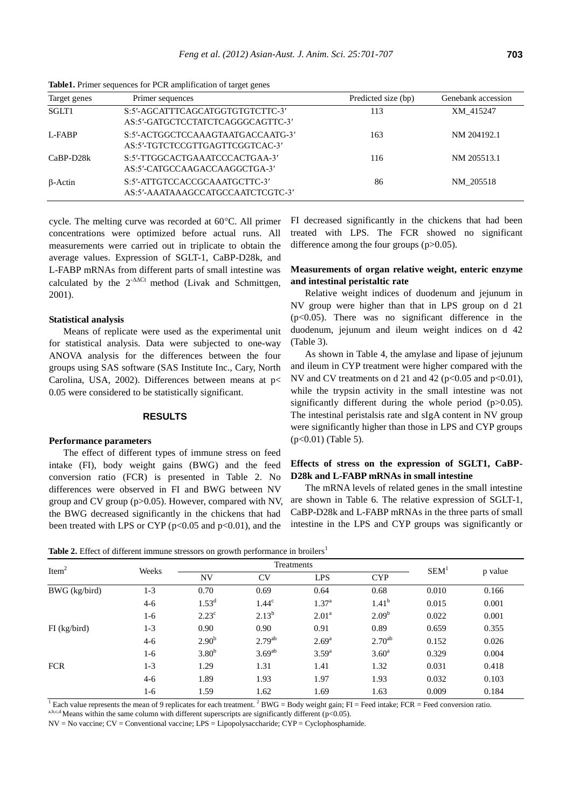| Target genes   | Primer sequences                                                      | Predicted size (bp) | Genebank accession |
|----------------|-----------------------------------------------------------------------|---------------------|--------------------|
| SGLT1          | S:5'-AGCATTTCAGCATGGTGTGTCTTC-3'<br>AS:5'-GATGCTCCTATCTCAGGGCAGTTC-3' | 113                 | XM 415247          |
| L-FABP         | S:5'-ACTGGCTCCAAAGTAATGACCAATG-3'<br>AS:5'-TGTCTCCGTTGAGTTCGGTCAC-3'  | 163                 | NM 204192.1        |
| $CaBP-D28k$    | S:5'-TTGGCACTGAAATCCCACTGAA-3'<br>AS:5'-CATGCCAAGACCAAGGCTGA-3'       | 116                 | NM 205513.1        |
| $\beta$ -Actin | S:5'-ATTGTCCACCGCAAATGCTTC-3'<br>AS:5'-AAATAAAGCCATGCCAATCTCGTC-3'    | 86                  | NM 205518          |

**Table1.** Primer sequences for PCR amplification of target genes

cycle. The melting curve was recorded at  $60^{\circ}$ C. All primer concentrations were optimized before actual runs. All measurements were carried out in triplicate to obtain the average values. Expression of SGLT-1, CaBP-D28k, and L-FABP mRNAs from different parts of small intestine was calculated by the  $2^{-A\Delta Ct}$  method (Livak and Schmittgen, 2001).

## **Statistical analysis**

Means of replicate were used as the experimental unit for statistical analysis. Data were subjected to one-way ANOVA analysis for the differences between the four groups using SAS software (SAS Institute Inc., Cary, North Carolina, USA, 2002). Differences between means at p< 0.05 were considered to be statistically significant.

## **RESULTS**

## **Performance parameters**

The effect of different types of immune stress on feed intake (FI), body weight gains (BWG) and the feed conversion ratio (FCR) is presented in Table 2. No differences were observed in FI and BWG between NV group and CV group (p>0.05). However, compared with NV, the BWG decreased significantly in the chickens that had been treated with LPS or CYP ( $p<0.05$  and  $p<0.01$ ), and the

FI decreased significantly in the chickens that had been treated with LPS. The FCR showed no significant difference among the four groups (p>0.05).

# **Measurements of organ relative weight, enteric enzyme and intestinal peristaltic rate**

Relative weight indices of duodenum and jejunum in NV group were higher than that in LPS group on d 21  $(p<0.05)$ . There was no significant difference in the duodenum, jejunum and ileum weight indices on d 42 (Table 3).

As shown in Table 4, the amylase and lipase of jejunum and ileum in CYP treatment were higher compared with the NV and CV treatments on d 21 and 42 ( $p<0.05$  and  $p<0.01$ ), while the trypsin activity in the small intestine was not significantly different during the whole period (p>0.05). The intestinal peristalsis rate and sIgA content in NV group were significantly higher than those in LPS and CYP groups (p<0.01) (Table 5).

# **Effects of stress on the expression of SGLT1, CaBP-D28k and L-FABP mRNAs in small intestine**

The mRNA levels of related genes in the small intestine are shown in Table 6. The relative expression of SGLT-1, CaBP-D28k and L-FABP mRNAs in the three parts of small intestine in the LPS and CYP groups was significantly or

**Table 2.** Effect of different immune stressors on growth performance in broilers<sup>1</sup>

|                   |         | ັ                 | $\overline{ }$    |                   |                   |                  |         |
|-------------------|---------|-------------------|-------------------|-------------------|-------------------|------------------|---------|
| Item <sup>2</sup> | Weeks   |                   | Treatments        |                   |                   |                  |         |
|                   |         | <b>NV</b>         | CV                | <b>LPS</b>        | <b>CYP</b>        | SEM <sup>1</sup> | p value |
| BWG (kg/bird)     | $1 - 3$ | 0.70              | 0.69              | 0.64              | 0.68              | 0.010            | 0.166   |
|                   | $4 - 6$ | $1.53^{d}$        | 1.44 <sup>c</sup> | 1.37 <sup>a</sup> | 1.41 <sup>b</sup> | 0.015            | 0.001   |
|                   | $1-6$   | $2.23^{\circ}$    | $2.13^{b}$        | 2.01 <sup>a</sup> | 2.09 <sup>b</sup> | 0.022            | 0.001   |
| $FI$ (kg/bird)    | $1 - 3$ | 0.90              | 0.90              | 0.91              | 0.89              | 0.659            | 0.355   |
|                   | $4 - 6$ | 2.90 <sup>b</sup> | $2.79^{ab}$       | $2.69^{a}$        | $2.70^{ab}$       | 0.152            | 0.026   |
|                   | 1-6     | 3.80 <sup>b</sup> | $3.69^{ab}$       | $3.59^{a}$        | 3.60 <sup>a</sup> | 0.329            | 0.004   |
| <b>FCR</b>        | $1 - 3$ | 1.29              | 1.31              | 1.41              | 1.32              | 0.031            | 0.418   |
|                   | $4-6$   | 1.89              | 1.93              | 1.97              | 1.93              | 0.032            | 0.103   |
|                   | 1-6     | 1.59              | 1.62              | 1.69              | 1.63              | 0.009            | 0.184   |

<sup>1</sup> Each value represents the mean of 9 replicates for each treatment. <sup>2</sup> BWG = Body weight gain; FI = Feed intake; FCR = Feed conversion ratio.

a,b,c,d Means within the same column with different superscripts are significantly different (p<0.05).

NV = No vaccine; CV = Conventional vaccine; LPS = Lipopolysaccharide; CYP = Cyclophosphamide.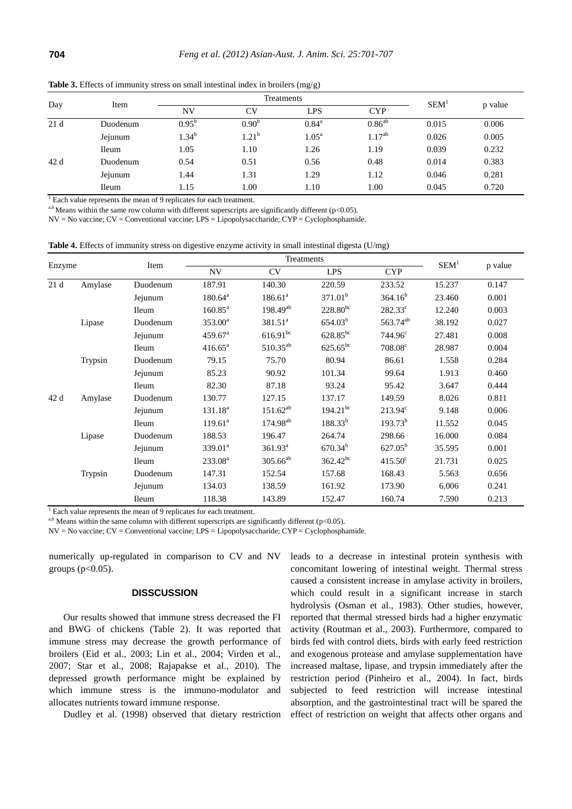| Day  | Item         |                | SEM <sup>1</sup> |                   |             |       |         |
|------|--------------|----------------|------------------|-------------------|-------------|-------|---------|
|      |              | <b>NV</b>      | CV               | <b>LPS</b>        | <b>CYP</b>  |       | p value |
| 21 d | Duodenum     | $0.95^{\rm b}$ | $0.90^{b}$       | $0.84^{\rm a}$    | $0.86^{ab}$ | 0.015 | 0.006   |
|      | Jejunum      | $1.34^{b}$     | $1.21^{b}$       | 1.05 <sup>a</sup> | $1.17^{ab}$ | 0.026 | 0.005   |
|      | <b>Ileum</b> | 1.05           | 1.10             | 1.26              | 1.19        | 0.039 | 0.232   |
| 42 d | Duodenum     | 0.54           | 0.51             | 0.56              | 0.48        | 0.014 | 0.383   |
|      | Jejunum      | 1.44           | 1.31             | 1.29              | 1.12        | 0.046 | 0.281   |
|      | Ileum        | 1.15           | 1.00             | 1.10              | 00.1        | 0.045 | 0.720   |

**Table 3.** Effects of immunity stress on small intestinal index in broilers (mg/g)

 $1$  Each value represents the mean of 9 replicates for each treatment.

a,b Means within the same row column with different superscripts are significantly different (p<0.05).

NV = No vaccine; CV = Conventional vaccine; LPS = Lipopolysaccharide; CYP = Cyclophosphamide.

**Table 4.** Effects of immunity stress on digestive enzyme activity in small intestinal digesta (U/mg)

|        |         |              |                       | Treatments           | SEM <sup>1</sup>    |                      |        |         |
|--------|---------|--------------|-----------------------|----------------------|---------------------|----------------------|--------|---------|
| Enzyme |         | Item         | <b>NV</b>             | <b>CV</b>            | <b>LPS</b>          | <b>CYP</b>           |        | p value |
| 21d    | Amylase | Duodenum     | 187.91                | 140.30               | 220.59              | 233.52               | 15.237 | 0.147   |
|        |         | Jejunum      | $180.64^a$            | 186.61 <sup>a</sup>  | 371.01 <sup>b</sup> | 364.16 <sup>b</sup>  | 23.460 | 0.001   |
|        |         | <b>Ileum</b> | $160.85^{\text{a}}$   | $198.49^{ab}$        | $228.80^{bc}$       | $282.33^{\circ}$     | 12.240 | 0.003   |
|        | Lipase  | Duodenum     | $353.00^a$            | $381.51^a$           | $654.03^{b}$        | 563.74 <sup>ab</sup> | 38.192 | 0.027   |
|        |         | Jejunum      | $459.67$ <sup>a</sup> | $616.91^{bc}$        | $628.85^{bc}$       | $744.96^{\circ}$     | 27.481 | 0.008   |
|        |         | <b>Ileum</b> | $416.65^a$            | $510.35^{ab}$        | $625.65^{bc}$       | $708.08^{\circ}$     | 28.987 | 0.004   |
|        | Trypsin | Duodenum     | 79.15                 | 75.70                | 80.94               | 86.61                | 1.558  | 0.284   |
|        |         | Jejunum      | 85.23                 | 90.92                | 101.34              | 99.64                | 1.913  | 0.460   |
|        |         | <b>Ileum</b> | 82.30                 | 87.18                | 93.24               | 95.42                | 3.647  | 0.444   |
| 42 d   | Amylase | Duodenum     | 130.77                | 127.15               | 137.17              | 149.59               | 8.026  | 0.811   |
|        |         | Jejunum      | 131.18 <sup>a</sup>   | $151.62^{ab}$        | $194.21^{bc}$       | $213.94^{\circ}$     | 9.148  | 0.006   |
|        |         | <b>Ileum</b> | $119.61^a$            | 174.98 <sup>ab</sup> | $188.33^{b}$        | $193.73^{b}$         | 11.552 | 0.045   |
|        | Lipase  | Duodenum     | 188.53                | 196.47               | 264.74              | 298.66               | 16.000 | 0.084   |
|        |         | Jejunum      | $339.01^a$            | 361.93 <sup>a</sup>  | $670.34^{b}$        | $627.05^b$           | 35.595 | 0.001   |
|        |         | <b>Ileum</b> | $233.08^a$            | $305.66^{ab}$        | $362.42^{bc}$       | $415.50^{\circ}$     | 21.731 | 0.025   |
|        | Trypsin | Duodenum     | 147.31                | 152.54               | 157.68              | 168.43               | 5.563  | 0.656   |
|        |         | Jejunum      | 134.03                | 138.59               | 161.92              | 173.90               | 6.006  | 0.241   |
|        |         | <b>Ileum</b> | 118.38                | 143.89               | 152.47              | 160.74               | 7.590  | 0.213   |

<sup>1</sup> Each value represents the mean of 9 replicates for each treatment.

a,b Means within the same column with different superscripts are significantly different (p<0.05).

NV = No vaccine; CV = Conventional vaccine; LPS = Lipopolysaccharide; CYP = Cyclophosphamide.

numerically up-regulated in comparison to CV and NV groups ( $p<0.05$ ).

## **DISSCUSSION**

Our results showed that immune stress decreased the FI and BWG of chickens (Table 2). It was reported that immune stress may decrease the growth performance of broilers (Eid et al., 2003; Lin et al., 2004; Virden et al., 2007; Star et al., 2008; Rajapakse et al., 2010). The depressed growth performance might be explained by which immune stress is the immuno-modulator and allocates nutrients toward immune response.

Dudley et al. (1998) observed that dietary restriction

leads to a decrease in intestinal protein synthesis with concomitant lowering of intestinal weight. Thermal stress caused a consistent increase in amylase activity in broilers, which could result in a significant increase in starch hydrolysis (Osman et al., 1983). Other studies, however, reported that thermal stressed birds had a higher enzymatic activity (Routman et al., 2003). Furthermore, compared to birds fed with control diets, birds with early feed restriction and exogenous protease and amylase supplementation have increased maltase, lipase, and trypsin immediately after the restriction period (Pinheiro et al., 2004). In fact, birds subjected to feed restriction will increase intestinal absorption, and the gastrointestinal tract will be spared the effect of restriction on weight that affects other organs and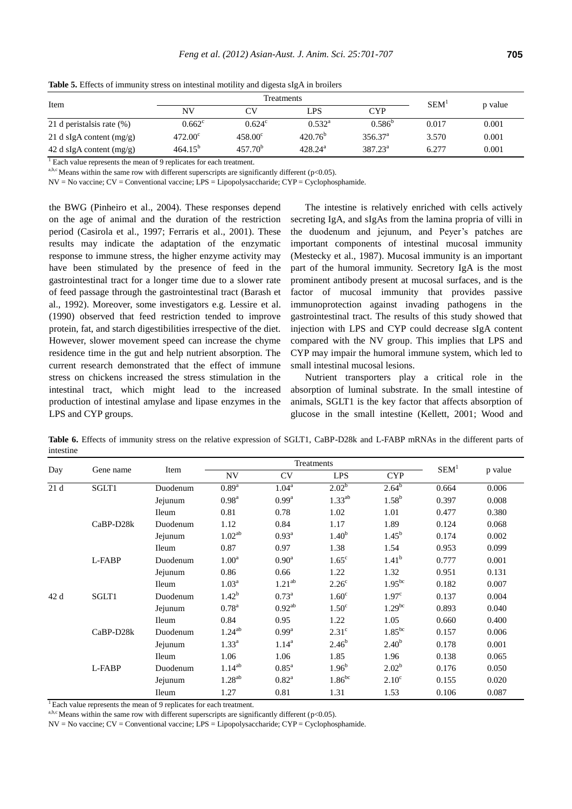| Item                       |                  | SEM <sup>1</sup> |                  |                  |       |         |
|----------------------------|------------------|------------------|------------------|------------------|-------|---------|
|                            | NV               |                  | LPS              | <b>CYP</b>       |       | p value |
| 21 d peristalsis rate (%)  | $0.662^{\circ}$  | $0.624^{\circ}$  | $0.532^{\rm a}$  | $0.586^{b}$      | 0.017 | 0.001   |
| 21 d sIgA content $(mg/g)$ | $472.00^{\circ}$ | $458.00^{\circ}$ | $420.76^{\circ}$ | $356.37^{\circ}$ | 3.570 | 0.001   |
| 42 d sIgA content $(mg/g)$ | $464.15^{b}$     | $457.70^{\circ}$ | $428.24^{\rm a}$ | $387.23^{\circ}$ | 6.277 | 0.001   |

**Table 5.** Effects of immunity stress on intestinal motility and digesta sIgA in broilers

 $\frac{1}{1}$  Each value represents the mean of 9 replicates for each treatment.

a,b,c Means within the same row with different superscripts are significantly different (p<0.05).

NV = No vaccine; CV = Conventional vaccine; LPS = Lipopolysaccharide; CYP = Cyclophosphamide.

the BWG (Pinheiro et al., 2004). These responses depend on the age of animal and the duration of the restriction period (Casirola et al., 1997; Ferraris et al., 2001). These results may indicate the adaptation of the enzymatic response to immune stress, the higher enzyme activity may have been stimulated by the presence of feed in the gastrointestinal tract for a longer time due to a slower rate of feed passage through the gastrointestinal tract (Barash et al., 1992). Moreover, some investigators e.g. Lessire et al. (1990) observed that feed restriction tended to improve protein, fat, and starch digestibilities irrespective of the diet. However, slower movement speed can increase the chyme residence time in the gut and help nutrient absorption. The current research demonstrated that the effect of immune stress on chickens increased the stress stimulation in the intestinal tract, which might lead to the increased production of intestinal amylase and lipase enzymes in the LPS and CYP groups.

The intestine is relatively enriched with cells actively secreting IgA, and sIgAs from the lamina propria of villi in the duodenum and jejunum, and Peyer's patches are important components of intestinal mucosal immunity (Mestecky et al., 1987). Mucosal immunity is an important part of the humoral immunity. Secretory IgA is the most prominent antibody present at mucosal surfaces, and is the factor of mucosal immunity that provides passive immunoprotection against invading pathogens in the gastrointestinal tract. The results of this study showed that injection with LPS and CYP could decrease sIgA content compared with the NV group. This implies that LPS and CYP may impair the humoral immune system, which led to small intestinal mucosal lesions.

Nutrient transporters play a critical role in the absorption of luminal substrate. In the small intestine of animals, SGLT1 is the key factor that affects absorption of glucose in the small intestine (Kellett, 2001; Wood and

Table 6. Effects of immunity stress on the relative expression of SGLT1, CaBP-D28k and L-FABP mRNAs in the different parts of intestine

| Day  |           |              |                          | Treatments          | SEM <sup>1</sup>  |                   |       |         |
|------|-----------|--------------|--------------------------|---------------------|-------------------|-------------------|-------|---------|
|      | Gene name | Item         | $\ensuremath{\text{NV}}$ | <b>CV</b>           | <b>LPS</b>        | <b>CYP</b>        |       | p value |
| 21d  | SGLT1     | Duodenum     | 0.89 <sup>a</sup>        | $1.04^a$            | $2.02^{b}$        | $2.64^{b}$        | 0.664 | 0.006   |
|      |           | Jejunum      | 0.98 <sup>a</sup>        | 0.99 <sup>a</sup>   | $1.33^{ab}$       | $1.58^{b}$        | 0.397 | 0.008   |
|      |           | <b>Ileum</b> | 0.81                     | 0.78                | 1.02              | 1.01              | 0.477 | 0.380   |
|      | CaBP-D28k | Duodenum     | 1.12                     | 0.84                | 1.17              | 1.89              | 0.124 | 0.068   |
|      |           | Jejunum      | 1.02 <sup>ab</sup>       | $0.93^{\rm a}$      | 1.40 <sup>b</sup> | $1.45^{\rm b}$    | 0.174 | 0.002   |
|      |           | <b>Ileum</b> | 0.87                     | 0.97                | 1.38              | 1.54              | 0.953 | 0.099   |
|      | L-FABP    | Duodenum     | 1.00 <sup>a</sup>        | 0.90 <sup>a</sup>   | $1.65^{\circ}$    | $1.41^{b}$        | 0.777 | 0.001   |
|      |           | Jejunum      | 0.86                     | 0.66                | 1.22              | 1.32              | 0.951 | 0.131   |
|      |           | Ileum        | 1.03 <sup>a</sup>        | $1.21^{ab}$         | 2.26 <sup>c</sup> | $1.95^{bc}$       | 0.182 | 0.007   |
| 42 d | SGLT1     | Duodenum     | $1.42^{b}$               | $0.73^{\rm a}$      | 1.60 <sup>c</sup> | 1.97 <sup>c</sup> | 0.137 | 0.004   |
|      |           | Jejunum      | $0.78^{a}$               | $0.92^{ab}$         | 1.50 <sup>c</sup> | $1.29^{bc}$       | 0.893 | 0.040   |
|      |           | Ileum        | 0.84                     | 0.95                | 1.22              | 1.05              | 0.660 | 0.400   |
|      | CaBP-D28k | Duodenum     | $1.24^{ab}$              | $0.99^{\rm a}$      | 2.31 <sup>c</sup> | $1.85^{bc}$       | 0.157 | 0.006   |
|      |           | Jejunum      | $1.33^{a}$               | $1.14^{a}$          | $2.46^{b}$        | 2.40 <sup>b</sup> | 0.178 | 0.001   |
|      |           | <b>Ileum</b> | 1.06                     | 1.06                | 1.85              | 1.96              | 0.138 | 0.065   |
|      | L-FABP    | Duodenum     | $1.14^{ab}$              | $0.85$ <sup>a</sup> | 1.96 <sup>b</sup> | $2.02^b$          | 0.176 | 0.050   |
|      |           | Jejunum      | $1.28^{ab}$              | $0.82^{\rm a}$      | $1.86^{bc}$       | $2.10^{\circ}$    | 0.155 | 0.020   |
|      |           | Ileum        | 1.27                     | 0.81                | 1.31              | 1.53              | 0.106 | 0.087   |

 $\frac{1}{1}$  Each value represents the mean of 9 replicates for each treatment.

a,b,c Means within the same row with different superscripts are significantly different ( $p<0.05$ ).

NV = No vaccine; CV = Conventional vaccine; LPS = Lipopolysaccharide; CYP = Cyclophosphamide.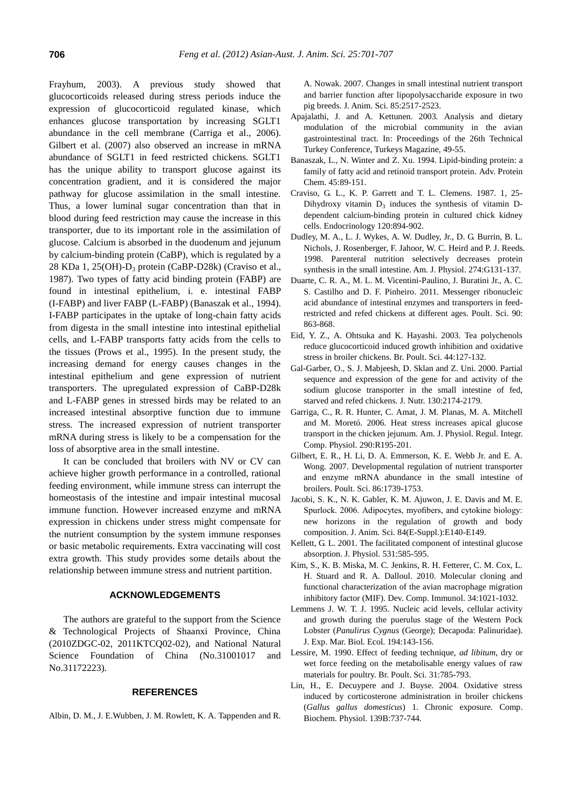Frayhum, 2003). A previous study showed that glucocorticoids released during stress periods induce the expression of glucocorticoid regulated kinase, which enhances glucose transportation by increasing SGLT1 abundance in the cell membrane (Carriga et al., 2006). Gilbert et al. (2007) also observed an increase in mRNA abundance of SGLT1 in feed restricted chickens. SGLT1 has the unique ability to transport glucose against its concentration gradient, and it is considered the major pathway for glucose assimilation in the small intestine. Thus, a lower luminal sugar concentration than that in blood during feed restriction may cause the increase in this transporter, due to its important role in the assimilation of glucose. Calcium is absorbed in the duodenum and jejunum by calcium-binding protein (CaBP), which is regulated by a 28 KDa 1, 25(OH)-D<sup>3</sup> protein (CaBP-D28k) (Craviso et al., 1987). Two types of fatty acid binding protein (FABP) are found in intestinal epithelium, i. e. intestinal FABP (I-FABP) and liver FABP (L-FABP) (Banaszak et al., 1994). I-FABP participates in the uptake of long-chain fatty acids from digesta in the small intestine into intestinal epithelial cells, and L-FABP transports fatty acids from the cells to the tissues (Prows et al., 1995). In the present study, the increasing demand for energy causes changes in the intestinal epithelium and gene expression of nutrient transporters. The upregulated expression of CaBP-D28k and L-FABP genes in stressed birds may be related to an increased intestinal absorptive function due to immune stress. The increased expression of nutrient transporter mRNA during stress is likely to be a compensation for the loss of absorptive area in the small intestine.

It can be concluded that broilers with NV or CV can achieve higher growth performance in a controlled, rational feeding environment, while immune stress can interrupt the homeostasis of the intestine and impair intestinal mucosal immune function. However increased enzyme and mRNA expression in chickens under stress might compensate for the nutrient consumption by the system immune responses or basic metabolic requirements. Extra vaccinating will cost extra growth. This study provides some details about the relationship between immune stress and nutrient partition.

## **ACKNOWLEDGEMENTS**

The authors are grateful to the support from the Science & Technological Projects of Shaanxi Province, China (2010ZDGC-02, 2011KTCQ02-02), and National Natural Science Foundation of China (No.31001017 and No.31172223).

#### **REFERENCES**

Albin, D. M., J. E.Wubben, J. M. Rowlett, K. A. Tappenden and R.

A. Nowak. 2007. Changes in small intestinal nutrient transport and barrier function after lipopolysaccharide exposure in two pig breeds. J. Anim. Sci. 85:2517-2523.

- Apajalathi, J. and A. Kettunen. 2003. Analysis and dietary modulation of the microbial community in the avian gastrointestinal tract. In: Proceedings of the 26th Technical Turkey Conference, Turkeys Magazine, 49-55.
- Banaszak, L., N. Winter and Z. Xu. 1994. Lipid-binding protein: a family of fatty acid and retinoid transport protein. Adv. Protein Chem. 45:89-151.
- Craviso, G. L., K. P. Garrett and T. L. Clemens. 1987. 1, 25- Dihydroxy vitamin  $D_3$  induces the synthesis of vitamin Ddependent calcium-binding protein in cultured chick kidney cells. Endocrinology 120:894-902.
- Dudley, M. A., L. J. Wykes, A. W. Dudley, Jr., D. G. Burrin, B. L. Nichols, J. Rosenberger, F. Jahoor, W. C. Heird and P. J. Reeds. 1998. Parenteral nutrition selectively decreases protein synthesis in the small intestine. Am. J. Physiol. 274:G131-137.
- Duarte, C. R. A., M. L. M. Vicentini-Paulino, J. Buratini Jr., A. C. S. Castilho and D. F. Pinheiro. 2011. Messenger ribonucleic acid abundance of intestinal enzymes and transporters in feedrestricted and refed chickens at different ages. Poult. Sci. 90: 863-868.
- Eid, Y. Z., A. Ohtsuka and K. Hayashi. 2003. Tea polychenols reduce glucocorticoid induced growth inhibition and oxidative stress in broiler chickens. Br. Poult. Sci. 44:127-132.
- Gal-Garber, O., S. J. Mabjeesh, D. Sklan and Z. Uni. 2000. Partial sequence and expression of the gene for and activity of the sodium glucose transporter in the small intestine of fed, starved and refed chickens. J. Nutr. 130:2174-2179.
- Garriga, C., R. R. Hunter, C. Amat, J. M. Planas, M. A. Mitchell and M. Moretó. 2006. Heat stress increases apical glucose transport in the chicken jejunum. Am. J. Physiol. Regul. Integr. Comp. Physiol. 290:R195-201.
- Gilbert, E. R., H. Li, D. A. Emmerson, K. E. Webb Jr. and E. A. Wong. 2007. Developmental regulation of nutrient transporter and enzyme mRNA abundance in the small intestine of broilers. Poult. Sci. 86:1739-1753.
- Jacobi, S. K., N. K. Gabler, K. M. Ajuwon, J. E. Davis and M. E. Spurlock. 2006. Adipocytes, myofibers, and cytokine biology: new horizons in the regulation of growth and body composition. J. Anim. Sci. 84(E-Suppl.):E140-E149.
- Kellett, G. L. 2001. The facilitated component of intestinal glucose absorption. J. Physiol. 531:585-595.
- Kim, S., K. B. Miska, M. C. Jenkins, R. H. Fetterer, C. M. Cox, L. H. Stuard and R. A. Dalloul. 2010. Molecular cloning and functional characterization of the avian macrophage migration inhibitory factor (MIF). Dev. Comp. Immunol. 34:1021-1032.
- Lemmens J. W. T. J. 1995. Nucleic acid levels, cellular activity and growth during the puerulus stage of the Western Pock Lobster (*Panulirus Cygnus* (George); Decapoda: Palinuridae). J. Exp. Mar. Biol. Ecol. 194:143-156.
- Lessire, M. 1990. Effect of feeding technique, *ad libitum*, dry or wet force feeding on the metabolisable energy values of raw materials for poultry. Br. Poult. Sci. 31:785-793.
- Lin, H., E. Decuypere and J. Buyse. 2004. Oxidative stress induced by corticosterone administration in broiler chickens (*Gallus gallus domesticus*) 1. Chronic exposure. Comp. Biochem. Physiol. 139B:737-744.